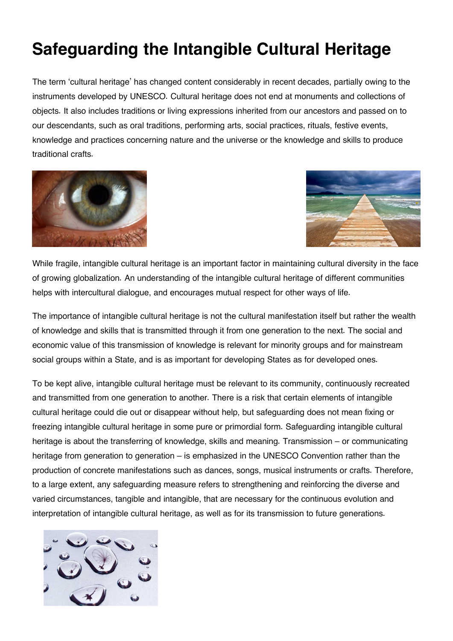## **Safeguarding the Intangible Cultural Heritage**

The term 'cultural heritage' has changed content considerably in recent decades, partially owing to the instruments developed by UNESCO. Cultural heritage does not end at monuments and collections of objects. It also includes traditions or living expressions inherited from our ancestors and passed on to our descendants, such as oral traditions, performing arts, social practices, rituals, festive events, knowledge and practices concerning nature and the universe or the knowledge and skills to produce traditional crafts.





While fragile, intangible cultural heritage is an important factor in maintaining cultural diversity in the face of growing globalization. An understanding of the intangible cultural heritage of different communities helps with intercultural dialogue, and encourages mutual respect for other ways of life.

The importance of intangible cultural heritage is not the cultural manifestation itself but rather the wealth of knowledge and skills that is transmitted through it from one generation to the next. The social and economic value of this transmission of knowledge is relevant for minority groups and for mainstream social groups within a State, and is as important for developing States as for developed ones.

To be kept alive, intangible cultural heritage must be relevant to its community, continuously recreated and transmitted from one generation to another. There is a risk that certain elements of intangible cultural heritage could die out or disappear without help, but safeguarding does not mean fixing or freezing intangible cultural heritage in some pure or primordial form. Safeguarding intangible cultural heritage is about the transferring of knowledge, skills and meaning. Transmission – or communicating heritage from generation to generation – is emphasized in the UNESCO Convention rather than the production of concrete manifestations such as dances, songs, musical instruments or crafts. Therefore, to a large extent, any safeguarding measure refers to strengthening and reinforcing the diverse and varied circumstances, tangible and intangible, that are necessary for the continuous evolution and interpretation of intangible cultural heritage, as well as for its transmission to future generations.